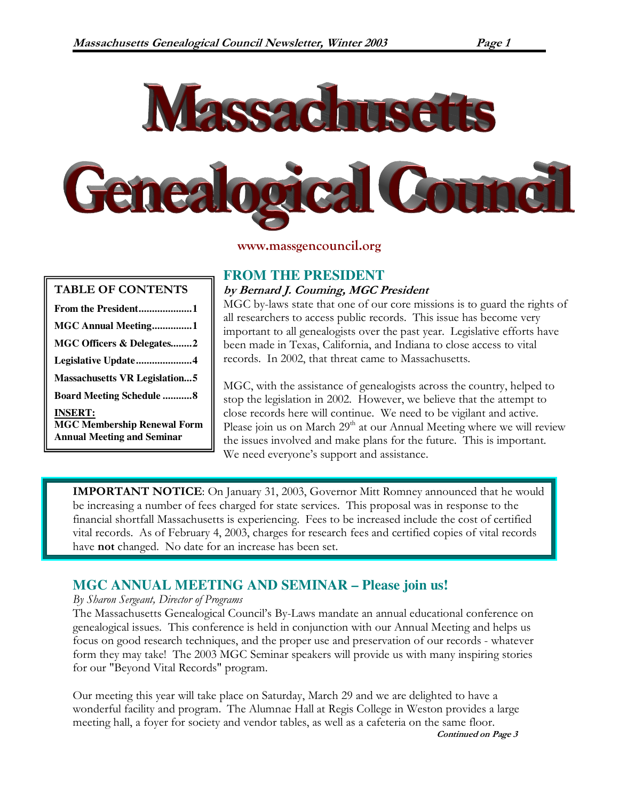

www.massgencouncil.org

| <b>TABLE OF CONTENTS</b>                                                                  |
|-------------------------------------------------------------------------------------------|
|                                                                                           |
| MGC Annual Meeting1                                                                       |
| MGC Officers & Delegates2                                                                 |
| Legislative Update4                                                                       |
| <b>Massachusetts VR Legislation5</b>                                                      |
| <b>Board Meeting Schedule 8</b>                                                           |
| <b>INSERT:</b><br><b>MGC Membership Renewal Form</b><br><b>Annual Meeting and Seminar</b> |

### **FROM THE PRESIDENT**

### by Bernard J. Couming, MGC President

MGC by-laws state that one of our core missions is to guard the rights of all researchers to access public records. This issue has become very important to all genealogists over the past year. Legislative efforts have been made in Texas, California, and Indiana to close access to vital records. In 2002, that threat came to Massachusetts.

MGC, with the assistance of genealogists across the country, helped to stop the legislation in 2002. However, we believe that the attempt to close records here will continue. We need to be vigilant and active. Please join us on March  $29<sup>th</sup>$  at our Annual Meeting where we will review the issues involved and make plans for the future. This is important. We need everyone's support and assistance.

IMPORTANT NOTICE: On January 31, 2003, Governor Mitt Romney announced that he would be increasing a number of fees charged for state services. This proposal was in response to the financial shortfall Massachusetts is experiencing. Fees to be increased include the cost of certified vital records. As of February 4, 2003, charges for research fees and certified copies of vital records have **not** changed. No date for an increase has been set.

# **MGC ANNUAL MEETING AND SEMINAR – Please join us!**

### By Sharon Sergeant, Director of Programs

The Massachusetts Genealogical Council's By-Laws mandate an annual educational conference on genealogical issues. This conference is held in conjunction with our Annual Meeting and helps us focus on good research techniques, and the proper use and preservation of our records - whatever form they may take! The 2003 MGC Seminar speakers will provide us with many inspiring stories for our "Beyond Vital Records" program.

Our meeting this year will take place on Saturday, March 29 and we are delighted to have a wonderful facility and program. The Alumnae Hall at Regis College in Weston provides a large meeting hall, a foyer for society and vendor tables, as well as a cafeteria on the same floor. Continued on Page 3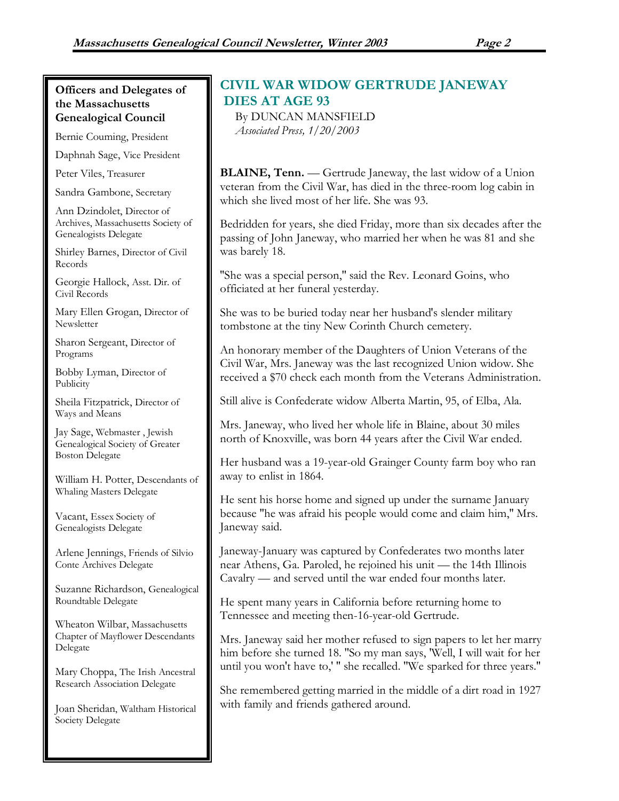### Officers and Delegates of the Massachusetts Genealogical Council

Bernie Couming, President

Daphnah Sage, Vice President

Peter Viles, Treasurer

Sandra Gambone, Secretary

Ann Dzindolet, Director of Archives, Massachusetts Society of Genealogists Delegate

Shirley Barnes, Director of Civil Records

Georgie Hallock, Asst. Dir. of Civil Records

Mary Ellen Grogan, Director of **Newsletter** 

Sharon Sergeant, Director of Programs

Bobby Lyman, Director of **Publicity** 

Sheila Fitzpatrick, Director of Ways and Means

Jay Sage, Webmaster , Jewish Genealogical Society of Greater Boston Delegate

William H. Potter, Descendants of Whaling Masters Delegate

Vacant, Essex Society of Genealogists Delegate

Arlene Jennings, Friends of Silvio Conte Archives Delegate

Suzanne Richardson, Genealogical Roundtable Delegate

Wheaton Wilbar, Massachusetts Chapter of Mayflower Descendants Delegate

Mary Choppa, The Irish Ancestral Research Association Delegate

Joan Sheridan, Waltham Historical Society Delegate

# CIVIL WAR WIDOW GERTRUDE JANEWAY DIES AT AGE 93

By DUNCAN MANSFIELD Associated Press, 1/20/2003

BLAINE, Tenn. — Gertrude Janeway, the last widow of a Union veteran from the Civil War, has died in the three-room log cabin in which she lived most of her life. She was 93.

Bedridden for years, she died Friday, more than six decades after the passing of John Janeway, who married her when he was 81 and she was barely 18.

''She was a special person,'' said the Rev. Leonard Goins, who officiated at her funeral yesterday.

She was to be buried today near her husband's slender military tombstone at the tiny New Corinth Church cemetery.

An honorary member of the Daughters of Union Veterans of the Civil War, Mrs. Janeway was the last recognized Union widow. She received a \$70 check each month from the Veterans Administration.

Still alive is Confederate widow Alberta Martin, 95, of Elba, Ala.

Mrs. Janeway, who lived her whole life in Blaine, about 30 miles north of Knoxville, was born 44 years after the Civil War ended.

Her husband was a 19-year-old Grainger County farm boy who ran away to enlist in 1864.

He sent his horse home and signed up under the surname January because ''he was afraid his people would come and claim him,'' Mrs. Janeway said.

Janeway-January was captured by Confederates two months later near Athens, Ga. Paroled, he rejoined his unit — the 14th Illinois Cavalry — and served until the war ended four months later.

He spent many years in California before returning home to Tennessee and meeting then-16-year-old Gertrude.

Mrs. Janeway said her mother refused to sign papers to let her marry him before she turned 18. ''So my man says, 'Well, I will wait for her until you won't have to,' '' she recalled. ''We sparked for three years.''

She remembered getting married in the middle of a dirt road in 1927 with family and friends gathered around.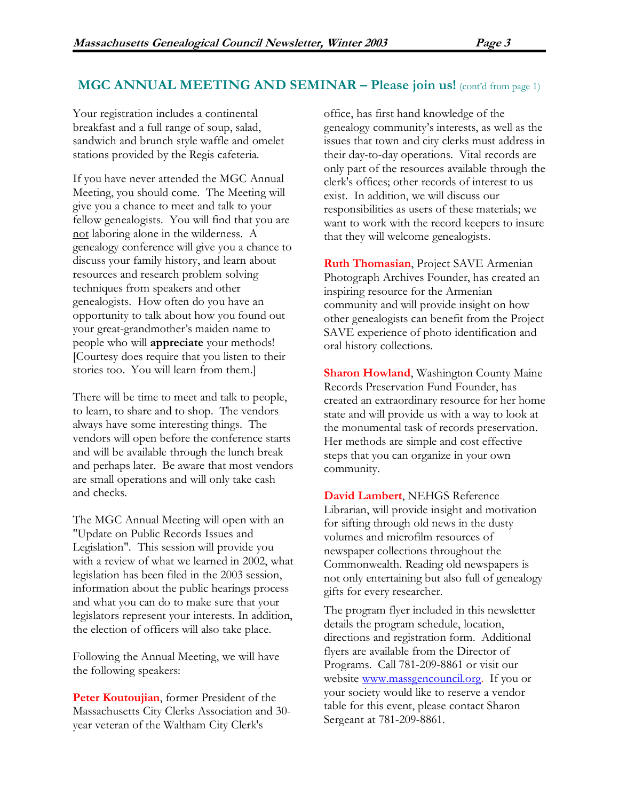### MGC ANNUAL MEETING AND SEMINAR – Please join us! (cont'd from page 1)

Your registration includes a continental breakfast and a full range of soup, salad, sandwich and brunch style waffle and omelet stations provided by the Regis cafeteria.

If you have never attended the MGC Annual Meeting, you should come. The Meeting will give you a chance to meet and talk to your fellow genealogists. You will find that you are not laboring alone in the wilderness. A genealogy conference will give you a chance to discuss your family history, and learn about resources and research problem solving techniques from speakers and other genealogists. How often do you have an opportunity to talk about how you found out your great-grandmother's maiden name to people who will appreciate your methods! [Courtesy does require that you listen to their stories too. You will learn from them.]

There will be time to meet and talk to people, to learn, to share and to shop. The vendors always have some interesting things. The vendors will open before the conference starts and will be available through the lunch break and perhaps later. Be aware that most vendors are small operations and will only take cash and checks.

The MGC Annual Meeting will open with an "Update on Public Records Issues and Legislation". This session will provide you with a review of what we learned in 2002, what legislation has been filed in the 2003 session, information about the public hearings process and what you can do to make sure that your legislators represent your interests. In addition, the election of officers will also take place.

Following the Annual Meeting, we will have the following speakers:

Peter Koutoujian, former President of the Massachusetts City Clerks Association and 30 year veteran of the Waltham City Clerk's

office, has first hand knowledge of the genealogy community's interests, as well as the issues that town and city clerks must address in their day-to-day operations. Vital records are only part of the resources available through the clerk's offices; other records of interest to us exist. In addition, we will discuss our responsibilities as users of these materials; we want to work with the record keepers to insure that they will welcome genealogists.

**Ruth Thomasian, Project SAVE Armenian** Photograph Archives Founder, has created an inspiring resource for the Armenian community and will provide insight on how other genealogists can benefit from the Project SAVE experience of photo identification and oral history collections.

**Sharon Howland, Washington County Maine** Records Preservation Fund Founder, has created an extraordinary resource for her home state and will provide us with a way to look at the monumental task of records preservation. Her methods are simple and cost effective steps that you can organize in your own community.

David Lambert, NEHGS Reference Librarian, will provide insight and motivation for sifting through old news in the dusty volumes and microfilm resources of newspaper collections throughout the Commonwealth. Reading old newspapers is not only entertaining but also full of genealogy gifts for every researcher.

The program flyer included in this newsletter details the program schedule, location, directions and registration form. Additional flyers are available from the Director of Programs. Call 781-209-8861 or visit our website www.massgencouncil.org. If you or your society would like to reserve a vendor table for this event, please contact Sharon Sergeant at 781-209-8861.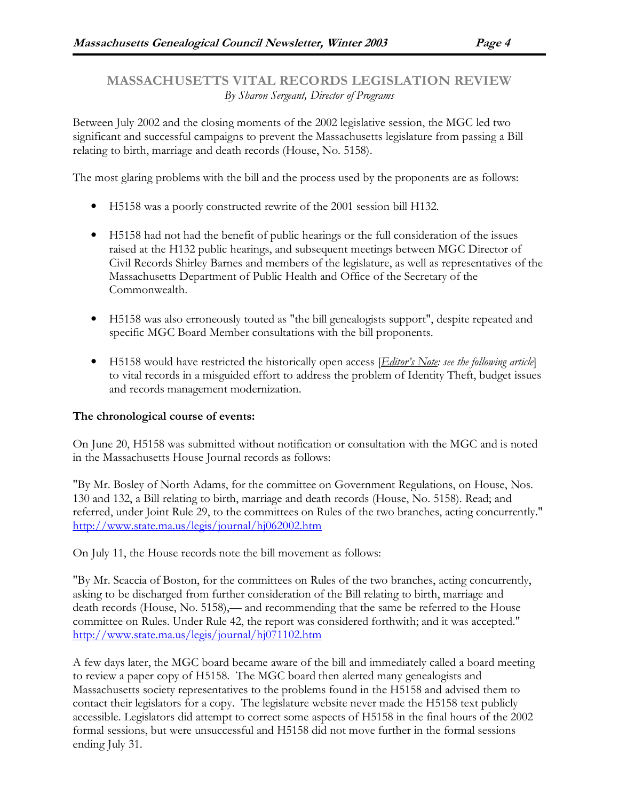MASSACHUSETTS VITAL RECORDS LEGISLATION REVIEW By Sharon Sergeant, Director of Programs

Between July 2002 and the closing moments of the 2002 legislative session, the MGC led two significant and successful campaigns to prevent the Massachusetts legislature from passing a Bill relating to birth, marriage and death records (House, No. 5158).

The most glaring problems with the bill and the process used by the proponents are as follows:

- H5158 was a poorly constructed rewrite of the 2001 session bill H132.
- H5158 had not had the benefit of public hearings or the full consideration of the issues raised at the H132 public hearings, and subsequent meetings between MGC Director of Civil Records Shirley Barnes and members of the legislature, as well as representatives of the Massachusetts Department of Public Health and Office of the Secretary of the Commonwealth.
- H5158 was also erroneously touted as "the bill genealogists support", despite repeated and specific MGC Board Member consultations with the bill proponents.
- $\bullet$  H5158 would have restricted the historically open access [*Editor's Note: see the following article*] to vital records in a misguided effort to address the problem of Identity Theft, budget issues and records management modernization.

### The chronological course of events:

On June 20, H5158 was submitted without notification or consultation with the MGC and is noted in the Massachusetts House Journal records as follows:

"By Mr. Bosley of North Adams, for the committee on Government Regulations, on House, Nos. 130 and 132, a Bill relating to birth, marriage and death records (House, No. 5158). Read; and referred, under Joint Rule 29, to the committees on Rules of the two branches, acting concurrently." http://www.state.ma.us/legis/journal/hj062002.htm

On July 11, the House records note the bill movement as follows:

"By Mr. Scaccia of Boston, for the committees on Rules of the two branches, acting concurrently, asking to be discharged from further consideration of the Bill relating to birth, marriage and death records (House, No. 5158),— and recommending that the same be referred to the House committee on Rules. Under Rule 42, the report was considered forthwith; and it was accepted." http://www.state.ma.us/legis/journal/hj071102.htm

A few days later, the MGC board became aware of the bill and immediately called a board meeting to review a paper copy of H5158. The MGC board then alerted many genealogists and Massachusetts society representatives to the problems found in the H5158 and advised them to contact their legislators for a copy. The legislature website never made the H5158 text publicly accessible. Legislators did attempt to correct some aspects of H5158 in the final hours of the 2002 formal sessions, but were unsuccessful and H5158 did not move further in the formal sessions ending July 31.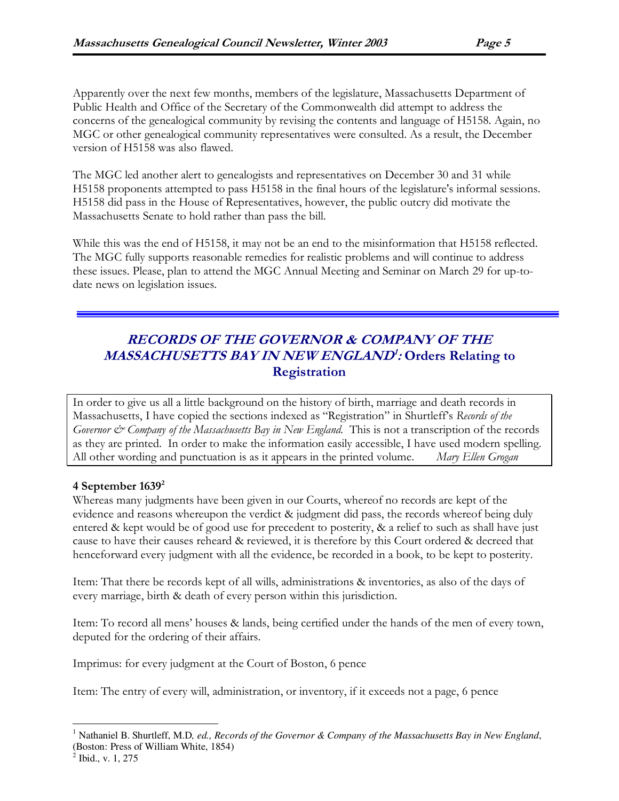Apparently over the next few months, members of the legislature, Massachusetts Department of Public Health and Office of the Secretary of the Commonwealth did attempt to address the concerns of the genealogical community by revising the contents and language of H5158. Again, no MGC or other genealogical community representatives were consulted. As a result, the December version of H5158 was also flawed.

The MGC led another alert to genealogists and representatives on December 30 and 31 while H5158 proponents attempted to pass H5158 in the final hours of the legislature's informal sessions. H5158 did pass in the House of Representatives, however, the public outcry did motivate the Massachusetts Senate to hold rather than pass the bill.

While this was the end of H5158, it may not be an end to the misinformation that H5158 reflected. The MGC fully supports reasonable remedies for realistic problems and will continue to address these issues. Please, plan to attend the MGC Annual Meeting and Seminar on March 29 for up-todate news on legislation issues.

### RECORDS OF THE GOVERNOR & COMPANY OF THE MASSACHUSETTS BAY IN NEW ENGLAND<sup>1</sup>: Orders Relating to **Registration**

In order to give us all a little background on the history of birth, marriage and death records in Massachusetts, I have copied the sections indexed as "Registration" in Shurtleff's Records of the Governor  $\mathcal{C}$  Company of the Massachusetts Bay in New England. This is not a transcription of the records as they are printed. In order to make the information easily accessible, I have used modern spelling. All other wording and punctuation is as it appears in the printed volume. Mary Ellen Grogan

### 4 September  $1639<sup>2</sup>$

Whereas many judgments have been given in our Courts, whereof no records are kept of the evidence and reasons whereupon the verdict & judgment did pass, the records whereof being duly entered & kept would be of good use for precedent to posterity, & a relief to such as shall have just cause to have their causes reheard & reviewed, it is therefore by this Court ordered & decreed that henceforward every judgment with all the evidence, be recorded in a book, to be kept to posterity.

Item: That there be records kept of all wills, administrations & inventories, as also of the days of every marriage, birth & death of every person within this jurisdiction.

Item: To record all mens' houses & lands, being certified under the hands of the men of every town, deputed for the ordering of their affairs.

Imprimus: for every judgment at the Court of Boston, 6 pence

Item: The entry of every will, administration, or inventory, if it exceeds not a page, 6 pence

<sup>-</sup><sup>1</sup> Nathaniel B. Shurtleff, M.D, ed., Records of the Governor & Company of the Massachusetts Bay in New England, (Boston: Press of William White, 1854)

 $2$  Ibid., v. 1, 275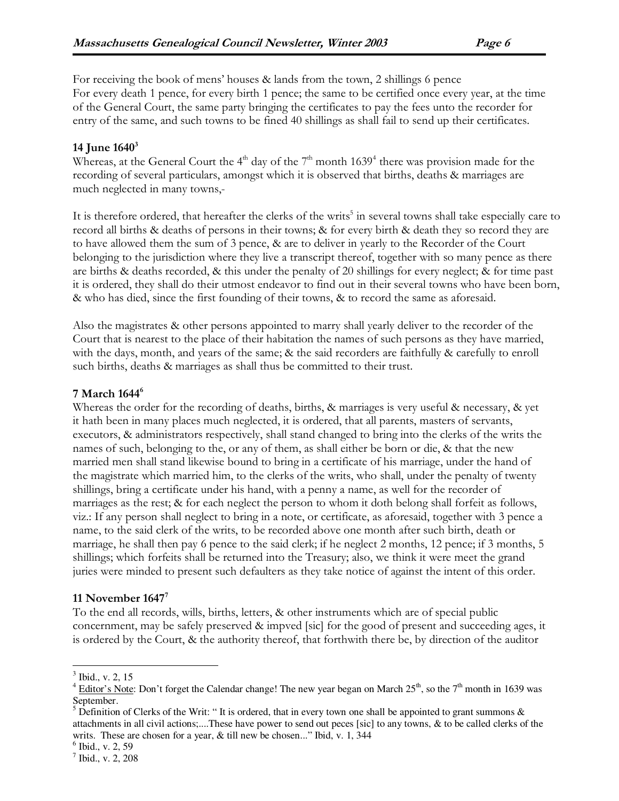For receiving the book of mens' houses & lands from the town, 2 shillings 6 pence For every death 1 pence, for every birth 1 pence; the same to be certified once every year, at the time of the General Court, the same party bringing the certificates to pay the fees unto the recorder for entry of the same, and such towns to be fined 40 shillings as shall fail to send up their certificates.

### 14 June  $1640^3$

Whereas, at the General Court the 4<sup>th</sup> day of the 7<sup>th</sup> month 1639<sup>4</sup> there was provision made for the recording of several particulars, amongst which it is observed that births, deaths & marriages are much neglected in many towns,-

It is therefore ordered, that hereafter the clerks of the writs<sup>5</sup> in several towns shall take especially care to record all births & deaths of persons in their towns; & for every birth & death they so record they are to have allowed them the sum of 3 pence, & are to deliver in yearly to the Recorder of the Court belonging to the jurisdiction where they live a transcript thereof, together with so many pence as there are births & deaths recorded, & this under the penalty of 20 shillings for every neglect; & for time past it is ordered, they shall do their utmost endeavor to find out in their several towns who have been born, & who has died, since the first founding of their towns, & to record the same as aforesaid.

Also the magistrates & other persons appointed to marry shall yearly deliver to the recorder of the Court that is nearest to the place of their habitation the names of such persons as they have married, with the days, month, and years of the same; & the said recorders are faithfully & carefully to enroll such births, deaths & marriages as shall thus be committed to their trust.

### 7 March 1644<sup>6</sup>

Whereas the order for the recording of deaths, births, & marriages is very useful & necessary, & yet it hath been in many places much neglected, it is ordered, that all parents, masters of servants, executors, & administrators respectively, shall stand changed to bring into the clerks of the writs the names of such, belonging to the, or any of them, as shall either be born or die, & that the new married men shall stand likewise bound to bring in a certificate of his marriage, under the hand of the magistrate which married him, to the clerks of the writs, who shall, under the penalty of twenty shillings, bring a certificate under his hand, with a penny a name, as well for the recorder of marriages as the rest; & for each neglect the person to whom it doth belong shall forfeit as follows, viz.: If any person shall neglect to bring in a note, or certificate, as aforesaid, together with 3 pence a name, to the said clerk of the writs, to be recorded above one month after such birth, death or marriage, he shall then pay 6 pence to the said clerk; if he neglect 2 months, 12 pence; if 3 months, 5 shillings; which forfeits shall be returned into the Treasury; also, we think it were meet the grand juries were minded to present such defaulters as they take notice of against the intent of this order.

### 11 November  $1647^7$

To the end all records, wills, births, letters, & other instruments which are of special public concernment, may be safely preserved & impved [sic] for the good of present and succeeding ages, it is ordered by the Court, & the authority thereof, that forthwith there be, by direction of the auditor

-

 $3$  Ibid., v. 2, 15

<sup>&</sup>lt;sup>4</sup> Editor's Note: Don't forget the Calendar change! The new year began on March  $25^{th}$ , so the  $7^{th}$  month in 1639 was September.

<sup>&</sup>lt;sup>5</sup> Definition of Clerks of the Writ: "It is ordered, that in every town one shall be appointed to grant summons  $\&$ attachments in all civil actions;....These have power to send out peces [sic] to any towns, & to be called clerks of the writs. These are chosen for a year, & till new be chosen..." Ibid, v. 1, 344

<sup>6</sup> Ibid., v. 2, 59

<sup>7</sup> Ibid., v. 2, 208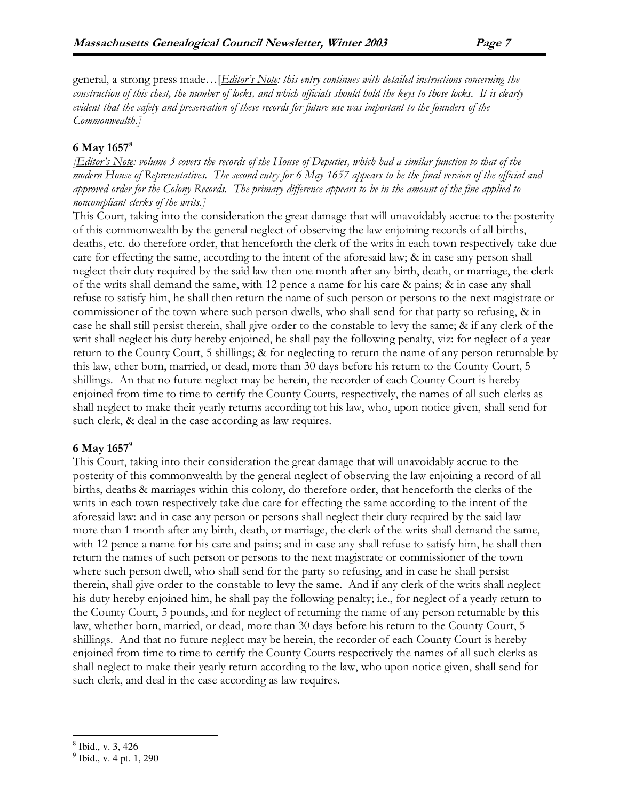general, a strong press made... [*Editor's Note: this entry continues with detailed instructions concerning the* construction of this chest, the number of locks, and which officials should hold the keys to those locks. It is clearly evident that the safety and preservation of these records for future use was important to the founders of the Commonwealth.]

#### 6 May 1657<sup>8</sup>

**[Editor's Note:** volume 3 covers the records of the House of Deputies, which had a similar function to that of the modern House of Representatives. The second entry for 6 May 1657 appears to be the final version of the official and approved order for the Colony Records. The primary difference appears to be in the amount of the fine applied to noncompliant clerks of the writs.]

This Court, taking into the consideration the great damage that will unavoidably accrue to the posterity of this commonwealth by the general neglect of observing the law enjoining records of all births, deaths, etc. do therefore order, that henceforth the clerk of the writs in each town respectively take due care for effecting the same, according to the intent of the aforesaid law; & in case any person shall neglect their duty required by the said law then one month after any birth, death, or marriage, the clerk of the writs shall demand the same, with 12 pence a name for his care  $\&$  pains;  $\&$  in case any shall refuse to satisfy him, he shall then return the name of such person or persons to the next magistrate or commissioner of the town where such person dwells, who shall send for that party so refusing, & in case he shall still persist therein, shall give order to the constable to levy the same; & if any clerk of the writ shall neglect his duty hereby enjoined, he shall pay the following penalty, viz: for neglect of a year return to the County Court, 5 shillings; & for neglecting to return the name of any person returnable by this law, ether born, married, or dead, more than 30 days before his return to the County Court, 5 shillings. An that no future neglect may be herein, the recorder of each County Court is hereby enjoined from time to time to certify the County Courts, respectively, the names of all such clerks as shall neglect to make their yearly returns according tot his law, who, upon notice given, shall send for such clerk, & deal in the case according as law requires.

#### 6 May 1657<sup>9</sup>

This Court, taking into their consideration the great damage that will unavoidably accrue to the posterity of this commonwealth by the general neglect of observing the law enjoining a record of all births, deaths & marriages within this colony, do therefore order, that henceforth the clerks of the writs in each town respectively take due care for effecting the same according to the intent of the aforesaid law: and in case any person or persons shall neglect their duty required by the said law more than 1 month after any birth, death, or marriage, the clerk of the writs shall demand the same, with 12 pence a name for his care and pains; and in case any shall refuse to satisfy him, he shall then return the names of such person or persons to the next magistrate or commissioner of the town where such person dwell, who shall send for the party so refusing, and in case he shall persist therein, shall give order to the constable to levy the same. And if any clerk of the writs shall neglect his duty hereby enjoined him, he shall pay the following penalty; i.e., for neglect of a yearly return to the County Court, 5 pounds, and for neglect of returning the name of any person returnable by this law, whether born, married, or dead, more than 30 days before his return to the County Court, 5 shillings. And that no future neglect may be herein, the recorder of each County Court is hereby enjoined from time to time to certify the County Courts respectively the names of all such clerks as shall neglect to make their yearly return according to the law, who upon notice given, shall send for such clerk, and deal in the case according as law requires.

<sup>-</sup>8 Ibid., v. 3, 426

<sup>&</sup>lt;sup>9</sup> Ibid., v. 4 pt. 1, 290